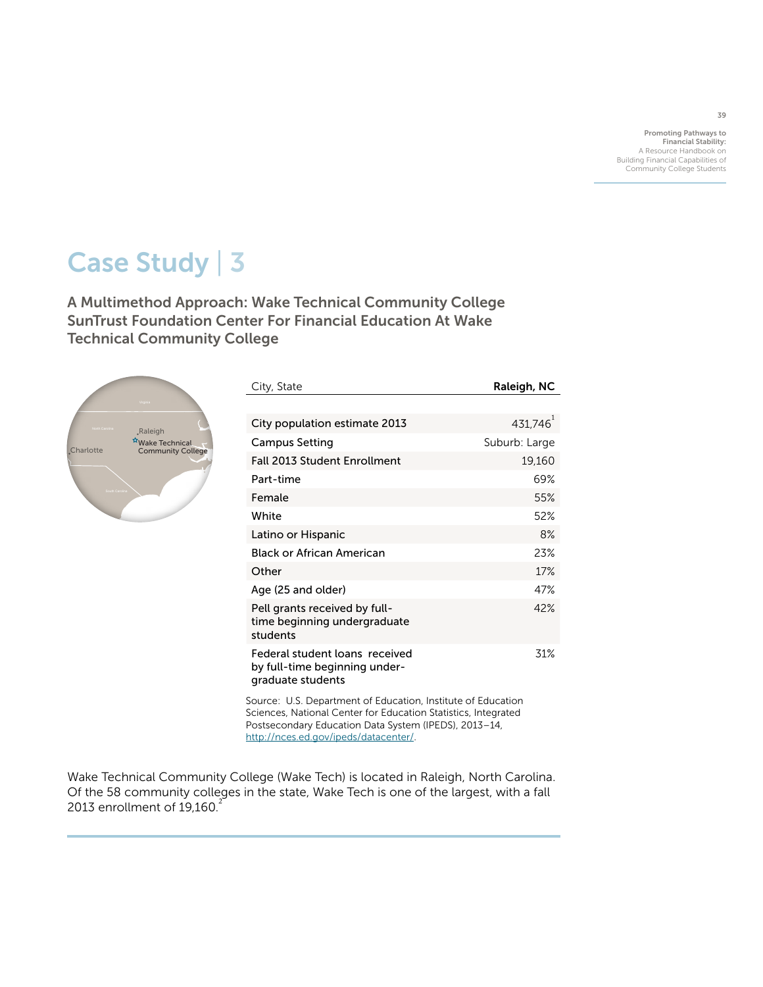Promoting Pathways to Financial Stability: A Resource Handbook on Building Financial Capabilities of Community College Students

# Case Study | 3

A Multimethod Approach: Wake Technical Community College SunTrust Foundation Center For Financial Education At Wake Technical Community College



| City, State                                                                          | Raleigh, NC   |
|--------------------------------------------------------------------------------------|---------------|
|                                                                                      |               |
| City population estimate 2013                                                        | 431,746       |
| Campus Setting                                                                       | Suburb: Large |
| <b>Fall 2013 Student Enrollment</b>                                                  | 19,160        |
| Part-time                                                                            | 69%           |
| Female                                                                               | 55%           |
| White                                                                                | 52%           |
| Latino or Hispanic                                                                   | 8%            |
| Black or African American                                                            | 23%           |
| Other                                                                                | 17%           |
| Age (25 and older)                                                                   | 47%           |
| Pell grants received by full-<br>time beginning undergraduate<br>students            | 42%           |
| Federal student loans received<br>by full-time beginning under-<br>graduate students | 31%           |

Source: U.S. Department of Education, Institute of Education Sciences, National Center for Education Statistics, Integrated Postsecondary Education Data System (IPEDS), 2013–14, <http://nces.ed.gov/ipeds/datacenter/>.

Wake Technical Community College (Wake Tech) is located in Raleigh, North Carolina. Of the 58 community colleges in the state, Wake Tech is one of the largest, with a fall 2013 enrollment of  $19.160<sup>2</sup>$ 

39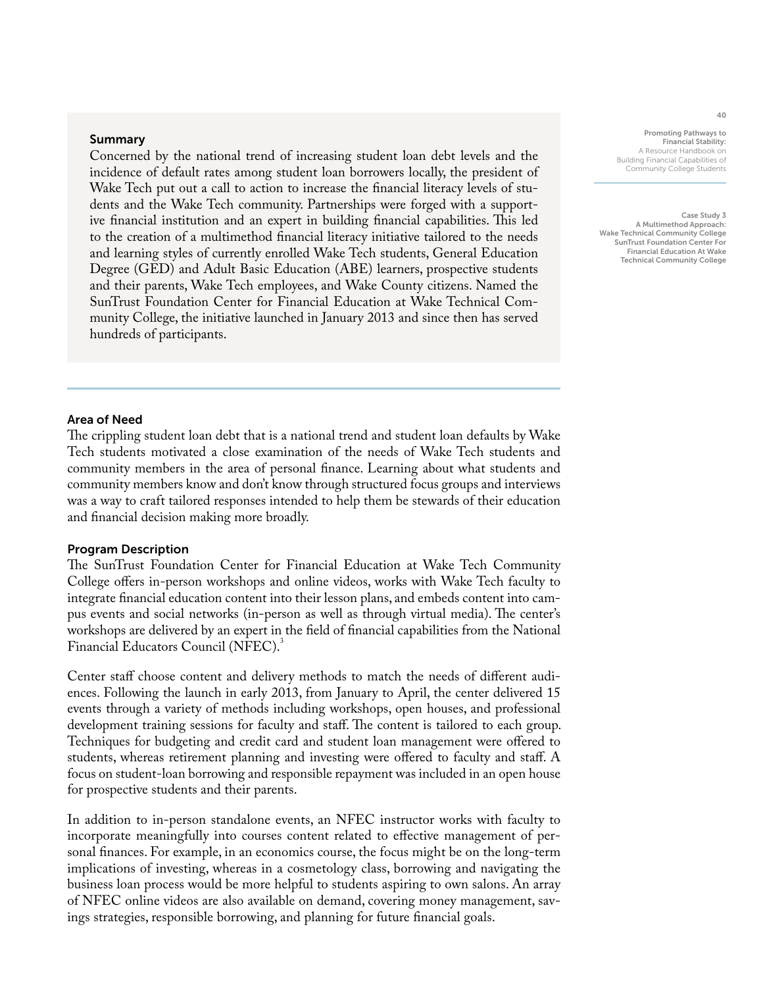### Summary

Concerned by the national trend of increasing student loan debt levels and the incidence of default rates among student loan borrowers locally, the president of Wake Tech put out a call to action to increase the financial literacy levels of students and the Wake Tech community. Partnerships were forged with a supportive financial institution and an expert in building financial capabilities. This led to the creation of a multimethod financial literacy initiative tailored to the needs and learning styles of currently enrolled Wake Tech students, General Education Degree (GED) and Adult Basic Education (ABE) learners, prospective students and their parents, Wake Tech employees, and Wake County citizens. Named the SunTrust Foundation Center for Financial Education at Wake Technical Community College, the initiative launched in January 2013 and since then has served hundreds of participants.

Promoting Pathways to Financial Stability: A Resource Handbook on Building Financial Capabilities of Community College Students

Case Study 3 A Multimethod Approach: Wake Technical Community College SunTrust Foundation Center For Financial Education At Wake Technical Community College

## Area of Need

The crippling student loan debt that is a national trend and student loan defaults by Wake Tech students motivated a close examination of the needs of Wake Tech students and community members in the area of personal finance. Learning about what students and community members know and don't know through structured focus groups and interviews was a way to craft tailored responses intended to help them be stewards of their education and financial decision making more broadly.

## Program Description

The SunTrust Foundation Center for Financial Education at Wake Tech Community College offers in-person workshops and online videos, works with Wake Tech faculty to integrate financial education content into their lesson plans, and embeds content into campus events and social networks (in-person as well as through virtual media). The center's workshops are delivered by an expert in the field of financial capabilities from the National Financial Educators Council (NFEC).<sup>3</sup>

Center staff choose content and delivery methods to match the needs of different audiences. Following the launch in early 2013, from January to April, the center delivered 15 events through a variety of methods including workshops, open houses, and professional development training sessions for faculty and staff. The content is tailored to each group. Techniques for budgeting and credit card and student loan management were offered to students, whereas retirement planning and investing were offered to faculty and staff. A focus on student-loan borrowing and responsible repayment was included in an open house for prospective students and their parents.

In addition to in-person standalone events, an NFEC instructor works with faculty to incorporate meaningfully into courses content related to effective management of personal finances. For example, in an economics course, the focus might be on the long-term implications of investing, whereas in a cosmetology class, borrowing and navigating the business loan process would be more helpful to students aspiring to own salons. An array of NFEC online videos are also available on demand, covering money management, savings strategies, responsible borrowing, and planning for future financial goals.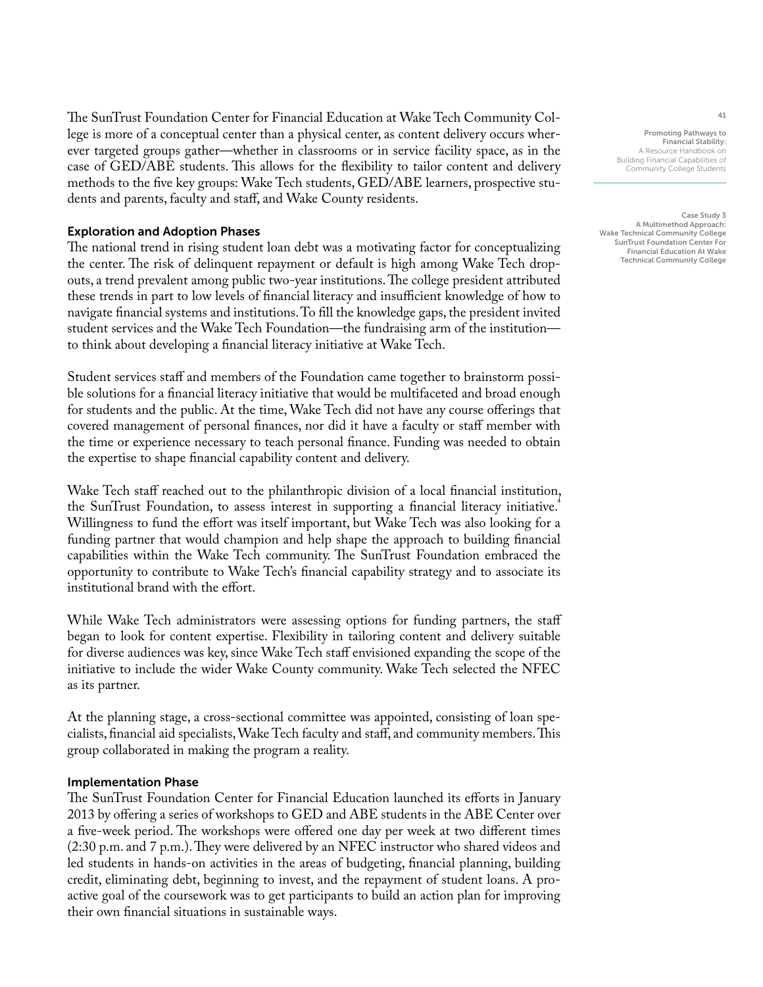The SunTrust Foundation Center for Financial Education at Wake Tech Community College is more of a conceptual center than a physical center, as content delivery occurs wherever targeted groups gather—whether in classrooms or in service facility space, as in the case of GED/ABE students. This allows for the flexibility to tailor content and delivery methods to the five key groups: Wake Tech students, GED/ABE learners, prospective students and parents, faculty and staff, and Wake County residents.

# Exploration and Adoption Phases

The national trend in rising student loan debt was a motivating factor for conceptualizing the center. The risk of delinquent repayment or default is high among Wake Tech dropouts, a trend prevalent among public two-year institutions. The college president attributed these trends in part to low levels of financial literacy and insufficient knowledge of how to navigate financial systems and institutions. To fill the knowledge gaps, the president invited student services and the Wake Tech Foundation—the fundraising arm of the institution to think about developing a financial literacy initiative at Wake Tech.

Student services staff and members of the Foundation came together to brainstorm possible solutions for a financial literacy initiative that would be multifaceted and broad enough for students and the public. At the time, Wake Tech did not have any course offerings that covered management of personal finances, nor did it have a faculty or staff member with the time or experience necessary to teach personal finance. Funding was needed to obtain the expertise to shape financial capability content and delivery.

Wake Tech staff reached out to the philanthropic division of a local financial institution, the SunTrust Foundation, to assess interest in supporting a financial literacy initiative.<sup>4</sup> Willingness to fund the effort was itself important, but Wake Tech was also looking for a funding partner that would champion and help shape the approach to building financial capabilities within the Wake Tech community. The SunTrust Foundation embraced the opportunity to contribute to Wake Tech's financial capability strategy and to associate its institutional brand with the effort.

While Wake Tech administrators were assessing options for funding partners, the staff began to look for content expertise. Flexibility in tailoring content and delivery suitable for diverse audiences was key, since Wake Tech staff envisioned expanding the scope of the initiative to include the wider Wake County community. Wake Tech selected the NFEC as its partner.

At the planning stage, a cross-sectional committee was appointed, consisting of loan specialists, financial aid specialists, Wake Tech faculty and staff, and community members. This group collaborated in making the program a reality.

# Implementation Phase

The SunTrust Foundation Center for Financial Education launched its efforts in January 2013 by offering a series of workshops to GED and ABE students in the ABE Center over a five-week period. The workshops were offered one day per week at two different times (2:30 p.m. and 7 p.m.). They were delivered by an NFEC instructor who shared videos and led students in hands-on activities in the areas of budgeting, financial planning, building credit, eliminating debt, beginning to invest, and the repayment of student loans. A proactive goal of the coursework was to get participants to build an action plan for improving their own financial situations in sustainable ways.

Promoting Pathways to Financial Stability: A Resource Handbook on Building Financial Capabilities of Community College Students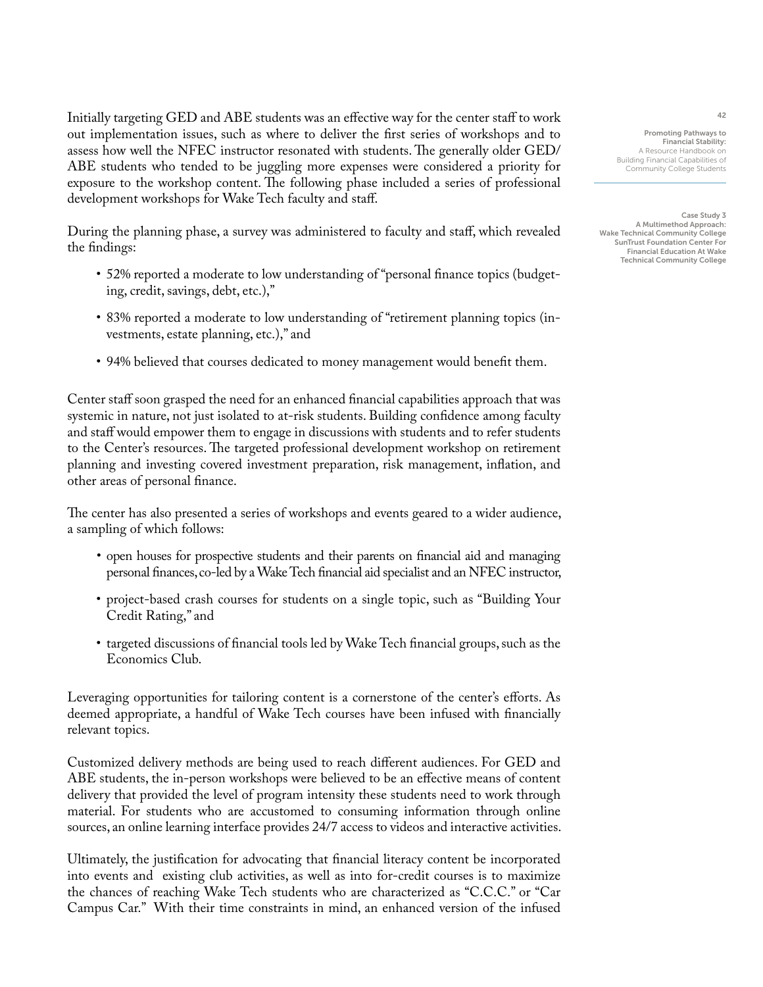Initially targeting GED and ABE students was an effective way for the center staff to work out implementation issues, such as where to deliver the first series of workshops and to assess how well the NFEC instructor resonated with students. The generally older GED/ ABE students who tended to be juggling more expenses were considered a priority for exposure to the workshop content. The following phase included a series of professional development workshops for Wake Tech faculty and staff.

During the planning phase, a survey was administered to faculty and staff, which revealed the findings:

- 52% reported a moderate to low understanding of "personal finance topics (budgeting, credit, savings, debt, etc.),"
- 83% reported a moderate to low understanding of "retirement planning topics (investments, estate planning, etc.)," and
- 94% believed that courses dedicated to money management would benefit them.

Center staff soon grasped the need for an enhanced financial capabilities approach that was systemic in nature, not just isolated to at-risk students. Building confidence among faculty and staff would empower them to engage in discussions with students and to refer students to the Center's resources. The targeted professional development workshop on retirement planning and investing covered investment preparation, risk management, inflation, and other areas of personal finance.

The center has also presented a series of workshops and events geared to a wider audience, a sampling of which follows:

- open houses for prospective students and their parents on financial aid and managing personal finances, co-led by a Wake Tech financial aid specialist and an NFEC instructor,
- project-based crash courses for students on a single topic, such as "Building Your Credit Rating," and
- targeted discussions of financial tools led by Wake Tech financial groups, such as the Economics Club.

Leveraging opportunities for tailoring content is a cornerstone of the center's efforts. As deemed appropriate, a handful of Wake Tech courses have been infused with financially relevant topics.

Customized delivery methods are being used to reach different audiences. For GED and ABE students, the in-person workshops were believed to be an effective means of content delivery that provided the level of program intensity these students need to work through material. For students who are accustomed to consuming information through online sources, an online learning interface provides 24/7 access to videos and interactive activities.

Ultimately, the justification for advocating that financial literacy content be incorporated into events and existing club activities, as well as into for-credit courses is to maximize the chances of reaching Wake Tech students who are characterized as "C.C.C." or "Car Campus Car." With their time constraints in mind, an enhanced version of the infused

Promoting Pathways to Financial Stability: A Resource Handbook on Building Financial Capabilities of Community College Students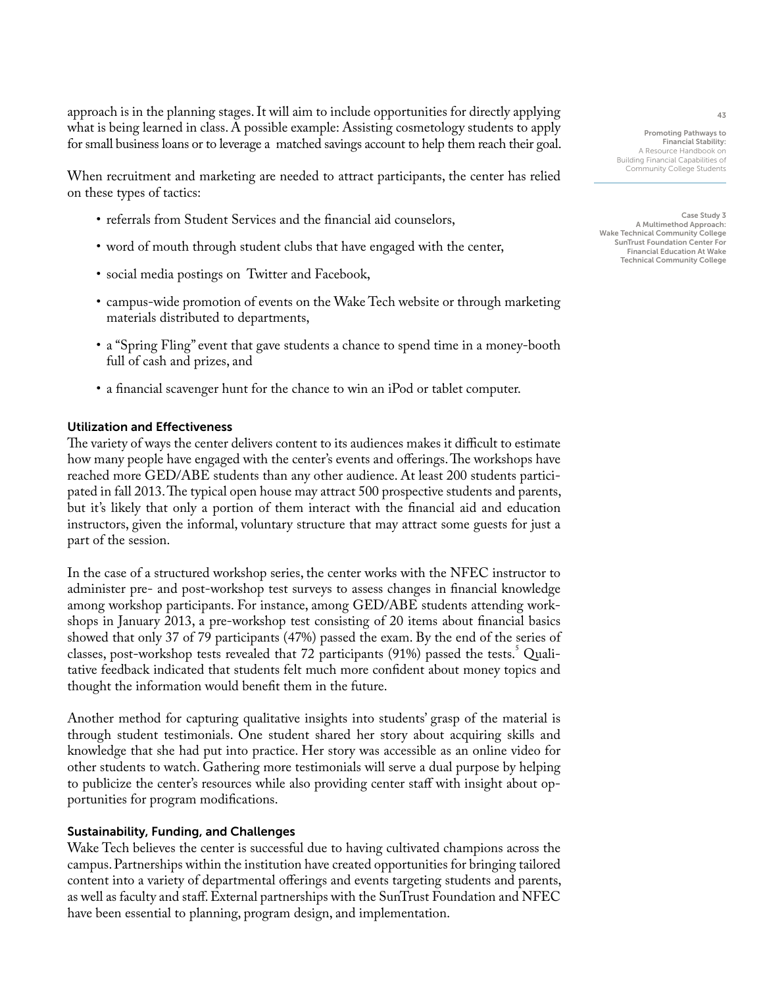approach is in the planning stages. It will aim to include opportunities for directly applying what is being learned in class. A possible example: Assisting cosmetology students to apply for small business loans or to leverage a matched savings account to help them reach their goal.

When recruitment and marketing are needed to attract participants, the center has relied on these types of tactics:

- referrals from Student Services and the financial aid counselors,
- word of mouth through student clubs that have engaged with the center,
- social media postings on Twitter and Facebook,
- campus-wide promotion of events on the Wake Tech website or through marketing materials distributed to departments,
- a "Spring Fling" event that gave students a chance to spend time in a money-booth full of cash and prizes, and
- a financial scavenger hunt for the chance to win an iPod or tablet computer.

# Utilization and Effectiveness

The variety of ways the center delivers content to its audiences makes it difficult to estimate how many people have engaged with the center's events and offerings. The workshops have reached more GED/ABE students than any other audience. At least 200 students participated in fall 2013. The typical open house may attract 500 prospective students and parents, but it's likely that only a portion of them interact with the financial aid and education instructors, given the informal, voluntary structure that may attract some guests for just a part of the session.

In the case of a structured workshop series, the center works with the NFEC instructor to administer pre- and post-workshop test surveys to assess changes in financial knowledge among workshop participants. For instance, among GED/ABE students attending workshops in January 2013, a pre-workshop test consisting of 20 items about financial basics showed that only 37 of 79 participants (47%) passed the exam. By the end of the series of classes, post-workshop tests revealed that 72 participants (91%) passed the tests.<sup>5</sup> Qualitative feedback indicated that students felt much more confident about money topics and thought the information would benefit them in the future.

Another method for capturing qualitative insights into students' grasp of the material is through student testimonials. One student shared her story about acquiring skills and knowledge that she had put into practice. Her story was accessible as an online video for other students to watch. Gathering more testimonials will serve a dual purpose by helping to publicize the center's resources while also providing center staff with insight about opportunities for program modifications.

# Sustainability, Funding, and Challenges

Wake Tech believes the center is successful due to having cultivated champions across the campus. Partnerships within the institution have created opportunities for bringing tailored content into a variety of departmental offerings and events targeting students and parents, as well as faculty and staff. External partnerships with the SunTrust Foundation and NFEC have been essential to planning, program design, and implementation.

Promoting Pathways to Financial Stability: A Resource Handbook on Building Financial Capabilities of Community College Students